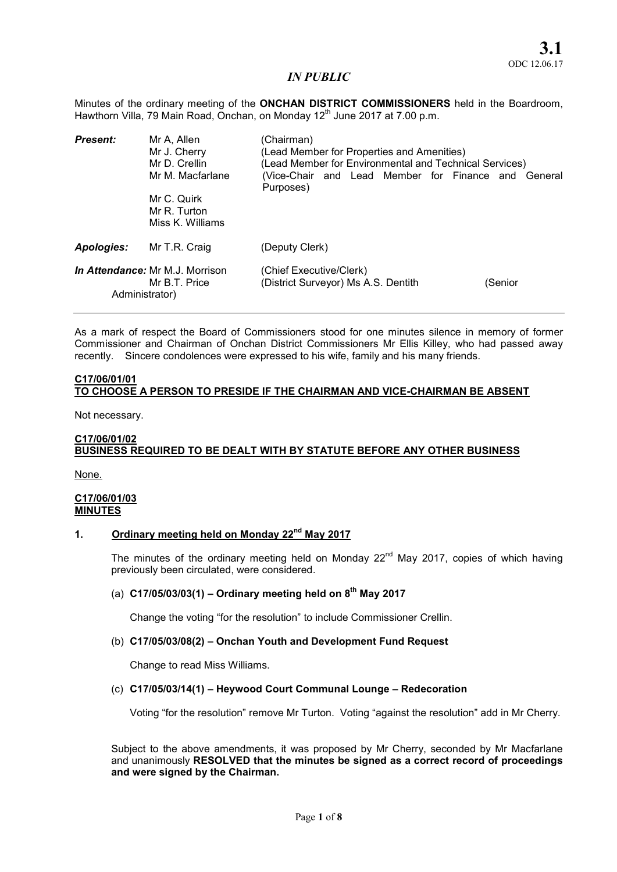Minutes of the ordinary meeting of the ONCHAN DISTRICT COMMISSIONERS held in the Boardroom, Hawthorn Villa, 79 Main Road, Onchan, on Monday 12<sup>th</sup> June 2017 at 7.00 p.m.

| <b>Present:</b> | Mr A, Allen<br>Mr J. Cherry<br>Mr D. Crellin<br>Mr M. Macfarlane | (Chairman)<br>(Lead Member for Properties and Amenities)<br>(Lead Member for Environmental and Technical Services)<br>(Vice-Chair and Lead Member for Finance and General |         |  |
|-----------------|------------------------------------------------------------------|---------------------------------------------------------------------------------------------------------------------------------------------------------------------------|---------|--|
|                 | Mr C. Quirk<br>Mr R. Turton<br>Miss K. Williams                  | Purposes)                                                                                                                                                                 |         |  |
| Apologies:      | Mr T.R. Craig                                                    | (Deputy Clerk)                                                                                                                                                            |         |  |
| Administrator)  | <i>In Attendance:</i> Mr M.J. Morrison<br>Mr B.T. Price          | (Chief Executive/Clerk)<br>(District Surveyor) Ms A.S. Dentith                                                                                                            | (Senior |  |

As a mark of respect the Board of Commissioners stood for one minutes silence in memory of former Commissioner and Chairman of Onchan District Commissioners Mr Ellis Killey, who had passed away recently. Sincere condolences were expressed to his wife, family and his many friends.

## C17/06/01/01 TO CHOOSE A PERSON TO PRESIDE IF THE CHAIRMAN AND VICE-CHAIRMAN BE ABSENT

Not necessary.

## C17/06/01/02 BUSINESS REQUIRED TO BE DEALT WITH BY STATUTE BEFORE ANY OTHER BUSINESS

None.

### C17/06/01/03 MINUTES

# 1. Ordinary meeting held on Monday 22<sup>nd</sup> May 2017

The minutes of the ordinary meeting held on Monday  $22<sup>nd</sup>$  May 2017, copies of which having previously been circulated, were considered.

## (a)  $C17/05/03/03(1)$  – Ordinary meeting held on  $8<sup>th</sup>$  May 2017

Change the voting "for the resolution" to include Commissioner Crellin.

## (b) C17/05/03/08(2) – Onchan Youth and Development Fund Request

Change to read Miss Williams.

## (c) C17/05/03/14(1) – Heywood Court Communal Lounge – Redecoration

Voting "for the resolution" remove Mr Turton. Voting "against the resolution" add in Mr Cherry.

Subject to the above amendments, it was proposed by Mr Cherry, seconded by Mr Macfarlane and unanimously RESOLVED that the minutes be signed as a correct record of proceedings and were signed by the Chairman.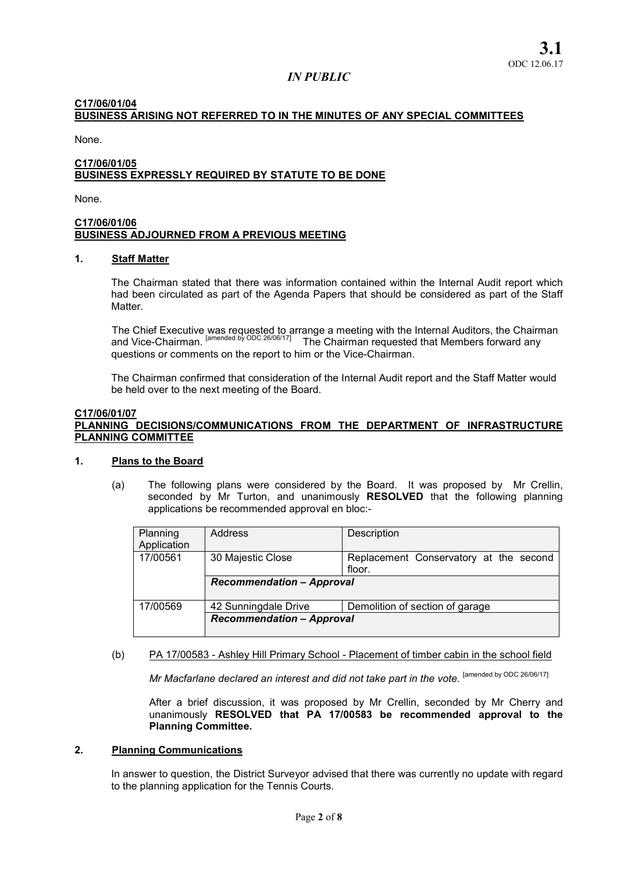## C17/06/01/04 BUSINESS ARISING NOT REFERRED TO IN THE MINUTES OF ANY SPECIAL COMMITTEES

None.

### C17/06/01/05 BUSINESS EXPRESSLY REQUIRED BY STATUTE TO BE DONE

None.

### C17/06/01/06 BUSINESS ADJOURNED FROM A PREVIOUS MEETING

#### 1. Staff Matter

The Chairman stated that there was information contained within the Internal Audit report which had been circulated as part of the Agenda Papers that should be considered as part of the Staff Matter.

The Chief Executive was requested to arrange a meeting with the Internal Auditors, the Chairman and Vice-Chairman. <sup>[amended by ODC 26/06/17]</sup> The Chairman requested that Members forward any questions or comments on the report to him or the Vice-Chairman.

The Chairman confirmed that consideration of the Internal Audit report and the Staff Matter would be held over to the next meeting of the Board.

#### C17/06/01/07 PLANNING DECISIONS/COMMUNICATIONS FROM THE DEPARTMENT OF INFRASTRUCTURE PLANNING COMMITTEE

## 1. Plans to the Board

(a) The following plans were considered by the Board. It was proposed by Mr Crellin, seconded by Mr Turton, and unanimously RESOLVED that the following planning applications be recommended approval en bloc:-

| Planning    | Address                          | Description                            |  |  |
|-------------|----------------------------------|----------------------------------------|--|--|
| Application |                                  |                                        |  |  |
| 17/00561    | 30 Majestic Close                | Replacement Conservatory at the second |  |  |
|             |                                  | floor.                                 |  |  |
|             | <b>Recommendation - Approval</b> |                                        |  |  |
| 17/00569    | 42 Sunningdale Drive             | Demolition of section of garage        |  |  |
|             | <b>Recommendation - Approval</b> |                                        |  |  |

### (b) PA 17/00583 - Ashley Hill Primary School - Placement of timber cabin in the school field

*Mr Macfarlane declared an interest and did not take part in the vote.* [amended by ODC 26/06/17]

After a brief discussion, it was proposed by Mr Crellin, seconded by Mr Cherry and unanimously RESOLVED that PA 17/00583 be recommended approval to the Planning Committee.

#### 2. Planning Communications

In answer to question, the District Surveyor advised that there was currently no update with regard to the planning application for the Tennis Courts.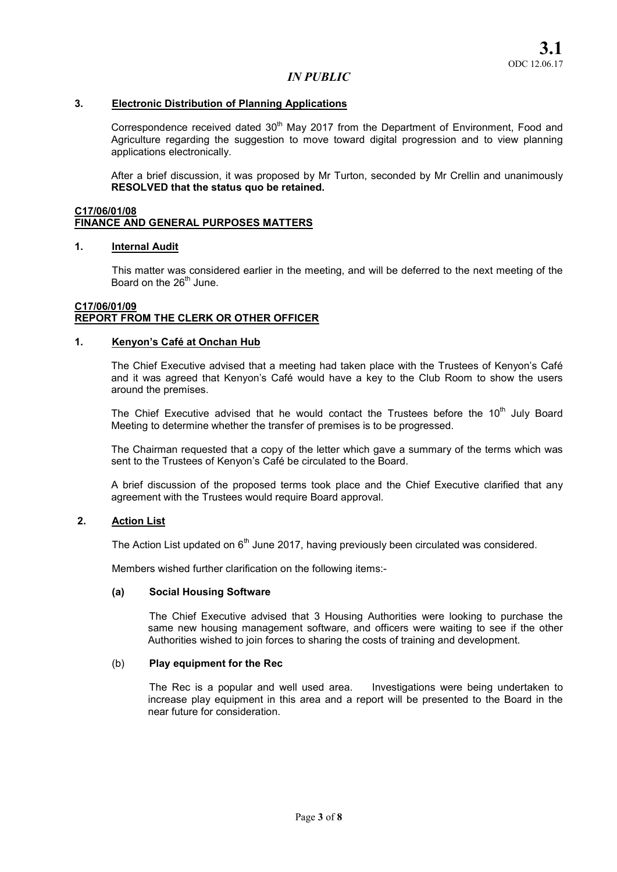### 3. Electronic Distribution of Planning Applications

Correspondence received dated 30<sup>th</sup> May 2017 from the Department of Environment, Food and Agriculture regarding the suggestion to move toward digital progression and to view planning applications electronically.

After a brief discussion, it was proposed by Mr Turton, seconded by Mr Crellin and unanimously RESOLVED that the status quo be retained.

### C17/06/01/08 FINANCE AND GENERAL PURPOSES MATTERS

#### 1. Internal Audit

This matter was considered earlier in the meeting, and will be deferred to the next meeting of the Board on the  $26<sup>th</sup>$  June.

### C17/06/01/09 REPORT FROM THE CLERK OR OTHER OFFICER

#### 1. Kenyon's Café at Onchan Hub

The Chief Executive advised that a meeting had taken place with the Trustees of Kenyon's Café and it was agreed that Kenyon's Café would have a key to the Club Room to show the users around the premises.

The Chief Executive advised that he would contact the Trustees before the  $10<sup>th</sup>$  July Board Meeting to determine whether the transfer of premises is to be progressed.

The Chairman requested that a copy of the letter which gave a summary of the terms which was sent to the Trustees of Kenyon's Café be circulated to the Board.

A brief discussion of the proposed terms took place and the Chief Executive clarified that any agreement with the Trustees would require Board approval.

#### 2. Action List

The Action List updated on  $6<sup>th</sup>$  June 2017, having previously been circulated was considered.

Members wished further clarification on the following items:-

#### (a) Social Housing Software

The Chief Executive advised that 3 Housing Authorities were looking to purchase the same new housing management software, and officers were waiting to see if the other Authorities wished to join forces to sharing the costs of training and development.

## (b) Play equipment for the Rec

The Rec is a popular and well used area. Investigations were being undertaken to increase play equipment in this area and a report will be presented to the Board in the near future for consideration.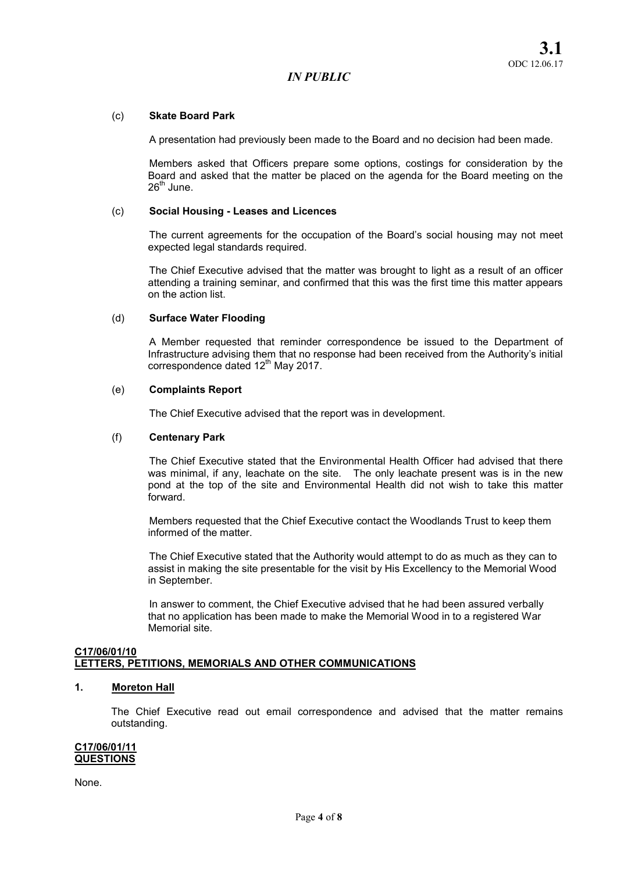### (c) Skate Board Park

A presentation had previously been made to the Board and no decision had been made.

Members asked that Officers prepare some options, costings for consideration by the Board and asked that the matter be placed on the agenda for the Board meeting on the  $26<sup>th</sup>$  June.

### (c) Social Housing - Leases and Licences

The current agreements for the occupation of the Board's social housing may not meet expected legal standards required.

The Chief Executive advised that the matter was brought to light as a result of an officer attending a training seminar, and confirmed that this was the first time this matter appears on the action list.

### (d) Surface Water Flooding

A Member requested that reminder correspondence be issued to the Department of Infrastructure advising them that no response had been received from the Authority's initial correspondence dated 12<sup>th</sup> May 2017.

### (e) Complaints Report

The Chief Executive advised that the report was in development.

#### (f) Centenary Park

The Chief Executive stated that the Environmental Health Officer had advised that there was minimal, if any, leachate on the site. The only leachate present was is in the new pond at the top of the site and Environmental Health did not wish to take this matter forward.

Members requested that the Chief Executive contact the Woodlands Trust to keep them informed of the matter.

The Chief Executive stated that the Authority would attempt to do as much as they can to assist in making the site presentable for the visit by His Excellency to the Memorial Wood in September.

In answer to comment, the Chief Executive advised that he had been assured verbally that no application has been made to make the Memorial Wood in to a registered War Memorial site.

#### C17/06/01/10 LETTERS, PETITIONS, MEMORIALS AND OTHER COMMUNICATIONS

### 1. Moreton Hall

The Chief Executive read out email correspondence and advised that the matter remains outstanding.

#### C17/06/01/11 **QUESTIONS**

None.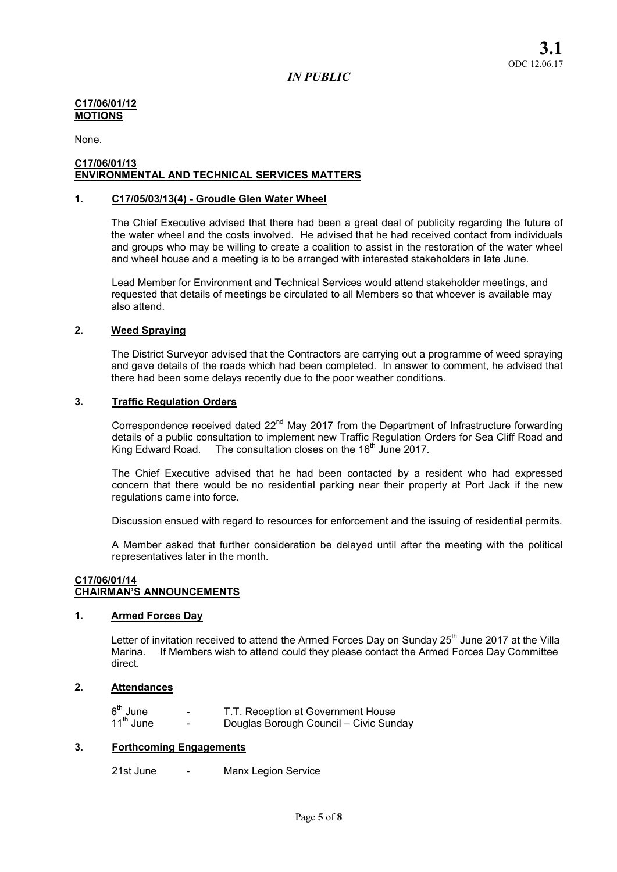### C17/06/01/12 MOTIONS

None.

#### C17/06/01/13 ENVIRONMENTAL AND TECHNICAL SERVICES MATTERS

## 1. C17/05/03/13(4) - Groudle Glen Water Wheel

The Chief Executive advised that there had been a great deal of publicity regarding the future of the water wheel and the costs involved. He advised that he had received contact from individuals and groups who may be willing to create a coalition to assist in the restoration of the water wheel and wheel house and a meeting is to be arranged with interested stakeholders in late June.

Lead Member for Environment and Technical Services would attend stakeholder meetings, and requested that details of meetings be circulated to all Members so that whoever is available may also attend.

### 2. Weed Spraying

The District Surveyor advised that the Contractors are carrying out a programme of weed spraying and gave details of the roads which had been completed. In answer to comment, he advised that there had been some delays recently due to the poor weather conditions.

### 3. Traffic Regulation Orders

Correspondence received dated 22<sup>nd</sup> May 2017 from the Department of Infrastructure forwarding details of a public consultation to implement new Traffic Regulation Orders for Sea Cliff Road and King Edward Road. The consultation closes on the 16<sup>th</sup> June 2017.

The Chief Executive advised that he had been contacted by a resident who had expressed concern that there would be no residential parking near their property at Port Jack if the new regulations came into force.

Discussion ensued with regard to resources for enforcement and the issuing of residential permits.

A Member asked that further consideration be delayed until after the meeting with the political representatives later in the month.

### C17/06/01/14 CHAIRMAN'S ANNOUNCEMENTS

## 1. Armed Forces Day

Letter of invitation received to attend the Armed Forces Day on Sunday  $25<sup>th</sup>$  June 2017 at the Villa Marina. If Members wish to attend could they please contact the Armed Forces Day Committee direct.

# 2. Attendances

| 6 <sup>th</sup> June  | $\overline{\phantom{0}}$ | T.T. Reception at Government House     |
|-----------------------|--------------------------|----------------------------------------|
| $11^{\text{th}}$ June | $\overline{\phantom{0}}$ | Douglas Borough Council - Civic Sunday |

### 3. Forthcoming Engagements

21st June - Manx Legion Service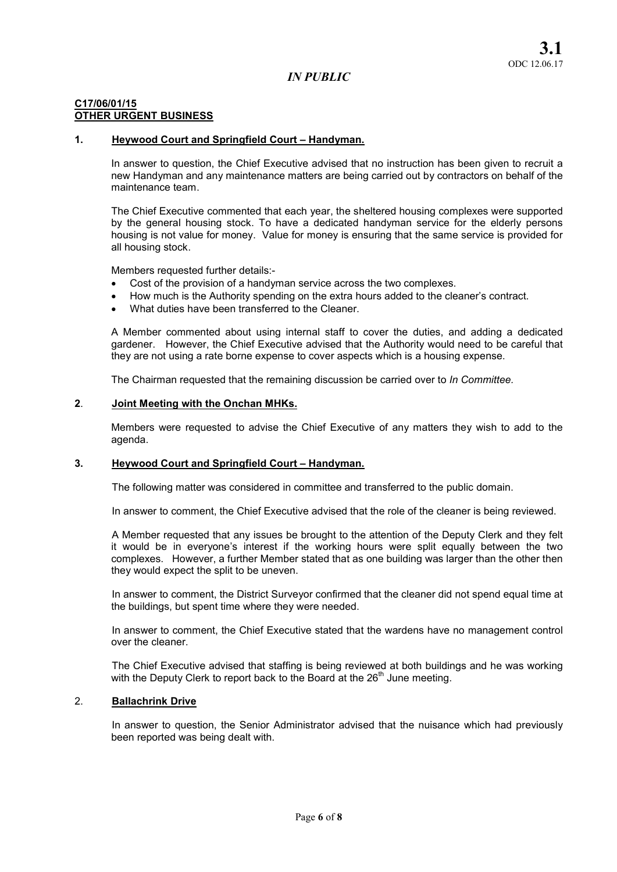### C17/06/01/15 OTHER URGENT BUSINESS

## 1. Heywood Court and Springfield Court – Handyman.

In answer to question, the Chief Executive advised that no instruction has been given to recruit a new Handyman and any maintenance matters are being carried out by contractors on behalf of the maintenance team.

The Chief Executive commented that each year, the sheltered housing complexes were supported by the general housing stock. To have a dedicated handyman service for the elderly persons housing is not value for money. Value for money is ensuring that the same service is provided for all housing stock.

Members requested further details:-

- Cost of the provision of a handyman service across the two complexes.
- How much is the Authority spending on the extra hours added to the cleaner's contract.
- What duties have been transferred to the Cleaner.

A Member commented about using internal staff to cover the duties, and adding a dedicated gardener. However, the Chief Executive advised that the Authority would need to be careful that they are not using a rate borne expense to cover aspects which is a housing expense.

The Chairman requested that the remaining discussion be carried over to *In Committee.* 

#### 2. Joint Meeting with the Onchan MHKs.

Members were requested to advise the Chief Executive of any matters they wish to add to the agenda.

#### 3. Heywood Court and Springfield Court – Handyman.

The following matter was considered in committee and transferred to the public domain.

In answer to comment, the Chief Executive advised that the role of the cleaner is being reviewed.

A Member requested that any issues be brought to the attention of the Deputy Clerk and they felt it would be in everyone's interest if the working hours were split equally between the two complexes. However, a further Member stated that as one building was larger than the other then they would expect the split to be uneven.

In answer to comment, the District Surveyor confirmed that the cleaner did not spend equal time at the buildings, but spent time where they were needed.

In answer to comment, the Chief Executive stated that the wardens have no management control over the cleaner.

The Chief Executive advised that staffing is being reviewed at both buildings and he was working with the Deputy Clerk to report back to the Board at the  $26<sup>th</sup>$  June meeting.

### 2. Ballachrink Drive

In answer to question, the Senior Administrator advised that the nuisance which had previously been reported was being dealt with.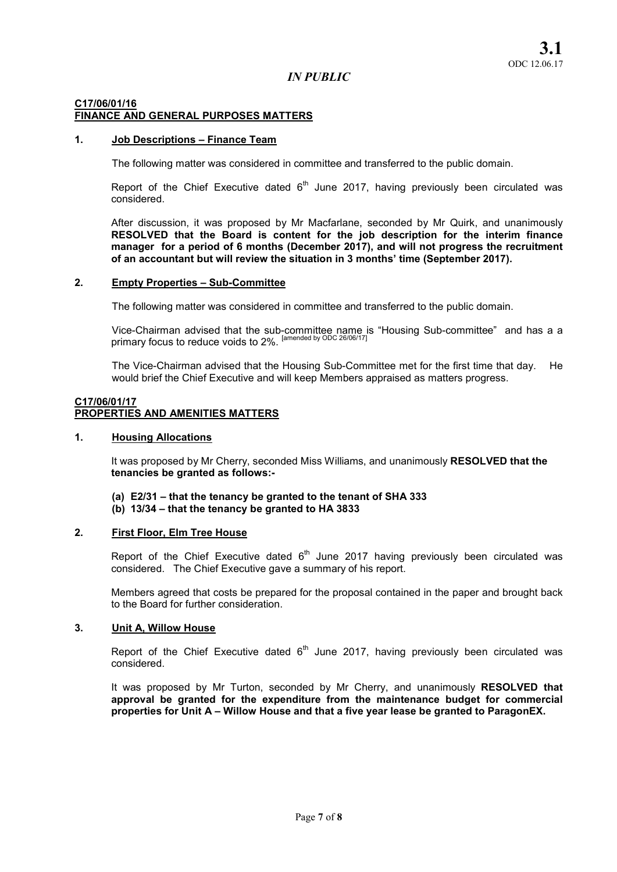## C17/06/01/16 FINANCE AND GENERAL PURPOSES MATTERS

### 1. Job Descriptions – Finance Team

The following matter was considered in committee and transferred to the public domain.

Report of the Chief Executive dated  $6<sup>th</sup>$  June 2017, having previously been circulated was considered.

After discussion, it was proposed by Mr Macfarlane, seconded by Mr Quirk, and unanimously RESOLVED that the Board is content for the job description for the interim finance manager for a period of 6 months (December 2017), and will not progress the recruitment of an accountant but will review the situation in 3 months' time (September 2017).

#### 2. Empty Properties – Sub-Committee

The following matter was considered in committee and transferred to the public domain.

Vice-Chairman advised that the sub-committee name is "Housing Sub-committee" and has a a primary focus to reduce voids to 2%. <sup>[amended by ODC 26/06/17]</sup>

The Vice-Chairman advised that the Housing Sub-Committee met for the first time that day. He would brief the Chief Executive and will keep Members appraised as matters progress.

### C17/06/01/17 PROPERTIES AND AMENITIES MATTERS

### 1. Housing Allocations

It was proposed by Mr Cherry, seconded Miss Williams, and unanimously RESOLVED that the tenancies be granted as follows:-

- (a) E2/31 that the tenancy be granted to the tenant of SHA 333
- (b) 13/34 that the tenancy be granted to HA 3833

## 2. First Floor, Elm Tree House

Report of the Chief Executive dated  $6<sup>th</sup>$  June 2017 having previously been circulated was considered. The Chief Executive gave a summary of his report.

Members agreed that costs be prepared for the proposal contained in the paper and brought back to the Board for further consideration.

## 3. Unit A, Willow House

Report of the Chief Executive dated  $6<sup>th</sup>$  June 2017, having previously been circulated was considered.

It was proposed by Mr Turton, seconded by Mr Cherry, and unanimously RESOLVED that approval be granted for the expenditure from the maintenance budget for commercial properties for Unit A – Willow House and that a five year lease be granted to ParagonEX.